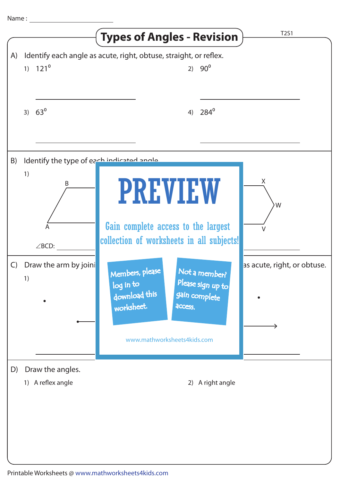|              |                                                 | <b>Types of Angles - Revision</b>                                                                                             | T2S1                        |
|--------------|-------------------------------------------------|-------------------------------------------------------------------------------------------------------------------------------|-----------------------------|
| A)           | $1) 121^0$                                      | Identify each angle as acute, right, obtuse, straight, or reflex.<br>2) $90^{\circ}$                                          |                             |
|              | 3) $63^{\circ}$                                 | $284^{\circ}$<br>4)                                                                                                           |                             |
| B)           | Identify the type of each indicated angle<br>1) | <b>PREVIEW</b>                                                                                                                | X                           |
|              | A<br>$\angle$ BCD:                              | Gain complete access to the largest<br>collection of worksheets in all subjects!                                              | W                           |
| $\mathsf{C}$ | Draw the arm by joini<br>1)                     | Not a member?<br>Members, please<br>Please sign up to<br>log in to<br>download this<br>gain complete<br>worksheet.<br>access. | as acute, right, or obtuse. |
|              |                                                 | www.mathworksheets4kids.com                                                                                                   |                             |
| D)           | Draw the angles.<br>1) A reflex angle           | 2) A right angle                                                                                                              |                             |
|              |                                                 |                                                                                                                               |                             |
|              |                                                 |                                                                                                                               |                             |